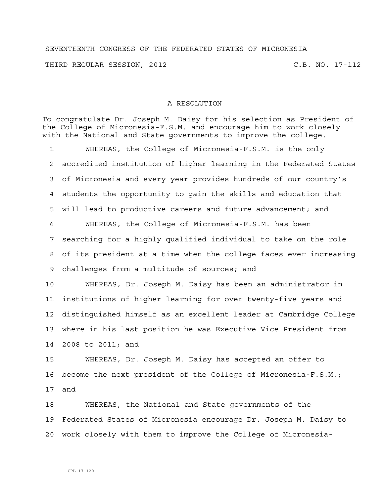## SEVENTEENTH CONGRESS OF THE FEDERATED STATES OF MICRONESIA

THIRD REGULAR SESSION, 2012 C.B. NO. 17-112

## A RESOLUTION

To congratulate Dr. Joseph M. Daisy for his selection as President of the College of Micronesia-F.S.M. and encourage him to work closely with the National and State governments to improve the college.

1 WHEREAS, the College of Micronesia-F.S.M. is the only 2 accredited institution of higher learning in the Federated States 3 of Micronesia and every year provides hundreds of our country's 4 students the opportunity to gain the skills and education that 5 will lead to productive careers and future advancement; and 6 WHEREAS, the College of Micronesia-F.S.M. has been 7 searching for a highly qualified individual to take on the role 8 of its president at a time when the college faces ever increasing 9 challenges from a multitude of sources; and 10 WHEREAS, Dr. Joseph M. Daisy has been an administrator in 11 institutions of higher learning for over twenty-five years and 12 distinguished himself as an excellent leader at Cambridge College

13 where in his last position he was Executive Vice President from 14 2008 to 2011; and

15 WHEREAS, Dr. Joseph M. Daisy has accepted an offer to 16 become the next president of the College of Micronesia-F.S.M.; 17 and

18 WHEREAS, the National and State governments of the 19 Federated States of Micronesia encourage Dr. Joseph M. Daisy to 20 work closely with them to improve the College of Micronesia